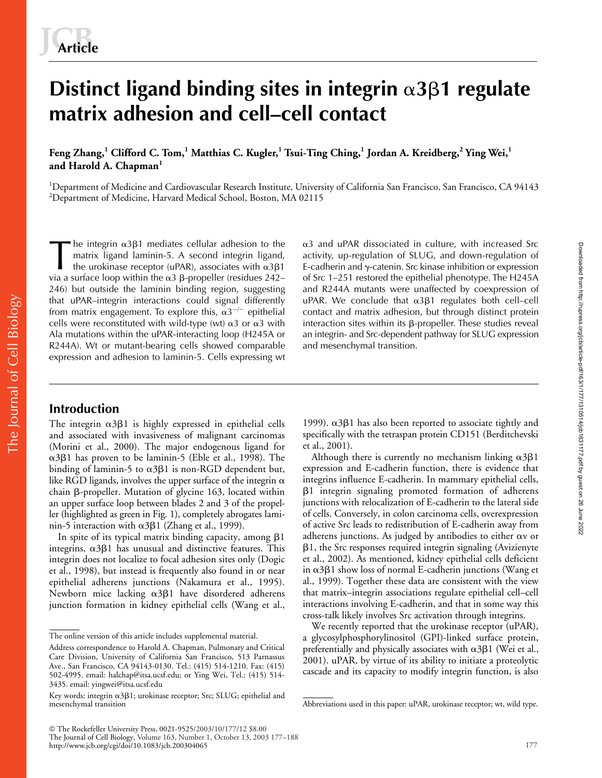# Distinct ligand binding sites in integrin  $\alpha$ 3 $\beta$ 1 regulate **matrix adhesion and cell–cell contact**

**Feng Zhang,<sup>1</sup> Clifford C. Tom,<sup>1</sup> Matthias C. Kugler,<sup>1</sup> Tsui-Ting Ching,<sup>1</sup> Jordan A. Kreidberg,<sup>2</sup> Ying Wei,<sup>1</sup> and Harold A. Chapman<sup>1</sup>**

<sup>1</sup>Department of Medicine and Cardiovascular Research Institute, University of California San Francisco, San Francisco, CA 94143 2 Department of Medicine, Harvard Medical School, Boston, MA 02115

he integrin  $\alpha$ 3 $\beta$ 1 mediates cellular adhesion to the matrix ligand laminin-5. A second integrin ligand, the urokinase receptor (uPAR), associates with  $\alpha$ 3 $\beta$ 1 via a surface loop within the  $\alpha 3$  β-propeller (residues 242– 246) but outside the laminin binding region, suggesting that uPAR–integrin interactions could signal differently from matrix engagement. To explore this,  $\alpha 3^{-/-}$  epithelial cells were reconstituted with wild-type (wt)  $\alpha$ 3 or  $\alpha$ 3 with Ala mutations within the uPAR-interacting loop (H245A or R244A). Wt or mutant-bearing cells showed comparable expression and adhesion to laminin-5. Cells expressing wt The integrin  $\alpha$ 3 $\beta$ 1 mediates cellular adhesion to the matrix ligand laminin-5. A second integrin ligand, as the urokinase receptor (uPAR), associates with  $\alpha$ 3 $\beta$ 1 Evia a surface loop within the  $\alpha$ 3 B-propeller (r

 $\alpha$ 3 and uPAR dissociated in culture, with increased Src activity, up-regulation of SLUG, and down-regulation of E-cadherin and  $\gamma$ -catenin. Src kinase inhibition or expression of Src 1–251 restored the epithelial phenotype. The H245A and R244A mutants were unaffected by coexpression of uPAR. We conclude that α3β1 regulates both cell–cell contact and matrix adhesion, but through distinct protein interaction sites within its  $\beta$ -propeller. These studies reveal an integrin- and Src-dependent pathway for SLUG expression and mesenchymal transition.

# **Introduction**

The integrin  $\alpha$ 3 $\beta$ 1 is highly expressed in epithelial cells and associated with invasiveness of malignant carcinomas (Morini et al., 2000). The major endogenous ligand for α3β1 has proven to be laminin-5 (Eble et al., 1998). The binding of laminin-5 to  $\alpha$ 3 $\beta$ 1 is non-RGD dependent but, like RGD ligands, involves the upper surface of the integrin  $\alpha$ chain  $\beta$ -propeller. Mutation of glycine 163, located within an upper surface loop between blades 2 and 3 of the propeller (highlighted as green in Fig. 1), completely abrogates laminin-5 interaction with  $\alpha 3\beta 1$  (Zhang et al., 1999).

In spite of its typical matrix binding capacity, among  $\beta$ 1 integrins,  $\alpha$ 3 $\beta$ 1 has unusual and distinctive features. This integrin does not localize to focal adhesion sites only (Dogic et al., 1998), but instead is frequently also found in or near epithelial adherens junctions (Nakamura et al., 1995). Newborn mice lacking  $\alpha$ 3 $\beta$ 1 have disordered adherens junction formation in kidney epithelial cells (Wang et al.,

1999).  $\alpha$ 3 $\beta$ 1 has also been reported to associate tightly and specifically with the tetraspan protein CD151 (Berditchevski et al., 2001).

Although there is currently no mechanism linking  $\alpha$ 3 $\beta$ 1 expression and E-cadherin function, there is evidence that integrins influence E-cadherin. In mammary epithelial cells,  $\beta$ 1 integrin signaling promoted formation of adherens junctions with relocalization of E-cadherin to the lateral side of cells. Conversely, in colon carcinoma cells, overexpression of active Src leads to redistribution of E-cadherin away from adherens junctions. As judged by antibodies to either  $\alpha$ v or  $\beta$ 1, the Src responses required integrin signaling (Avizienyte et al., 2002). As mentioned, kidney epithelial cells deficient in  $\alpha$ 3 $\beta$ 1 show loss of normal E-cadherin junctions (Wang et al., 1999). Together these data are consistent with the view that matrix–integrin associations regulate epithelial cell–cell interactions involving E-cadherin, and that in some way this cross-talk likely involves Src activation through integrins.

We recently reported that the urokinase receptor (uPAR), a glycosylphosphorylinositol (GPI)-linked surface protein, preferentially and physically associates with  $\alpha$ 3 $\beta$ 1 (Wei et al., 2001). uPAR, by virtue of its ability to initiate a proteolytic cascade and its capacity to modify integrin function, is also

The online version of this article includes supplemental material.

Address correspondence to Harold A. Chapman, Pulmonary and Critical Care Division, University of California San Francisco, 513 Parnassus Ave., San Francisco, CA 94143-0130. Tel.: (415) 514-1210. Fax: (415) 502-4995. email: halchap@itsa.ucsf.edu; or Ying Wei, Tel.: (415) 514- 3435. email: yingwei@itsa.ucsf.edu

Key words: integrin  $\alpha$ 3 $\beta$ 1; urokinase receptor; Src; SLUG; epithelial and mesenchymal transition abbreviations used in this paper: uPAR, urokinase receptor; wt, wild type.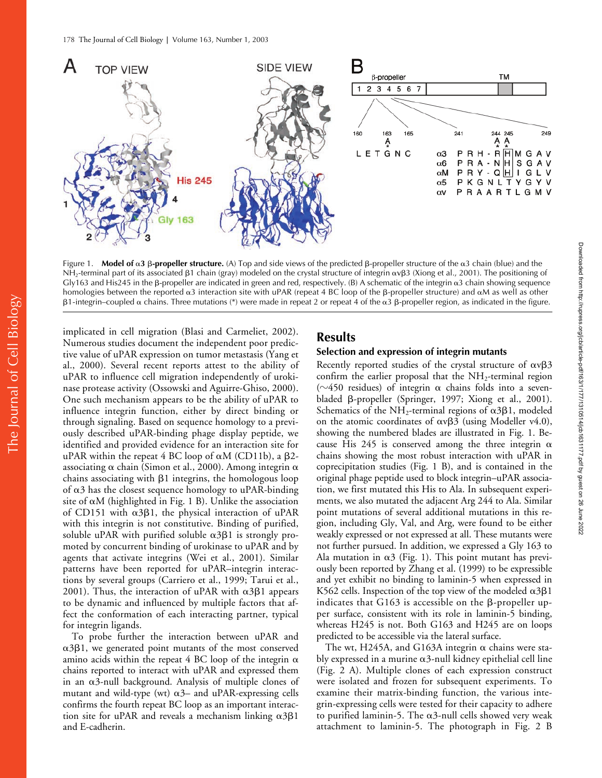

Figure 1. **Model of**  $\alpha$ **3**  $\beta$ **-propeller structure.** (A) Top and side views of the predicted  $\beta$ -propeller structure of the  $\alpha$ 3 chain (blue) and the NH<sub>2</sub>-terminal part of its associated  $\beta$ 1 chain (gray) modeled on the crystal structure of integrin  $\alpha$ v $\beta$ 3 (Xiong et al., 2001). The positioning of  $Gly163$  and His245 in the  $\beta$ -propeller are indicated in green and red, respectively. (B) A schematic of the integrin  $\alpha$ 3 chain showing sequence homologies between the reported  $\alpha$ 3 interaction site with uPAR (repeat 4 BC loop of the β-propeller structure) and  $\alpha$ M as well as other β1-integrin–coupled α chains. Three mutations (\*) were made in repeat 2 or repeat 4 of the α3 β-propeller region, as indicated in the figure.

implicated in cell migration (Blasi and Carmeliet, 2002). Numerous studies document the independent poor predictive value of uPAR expression on tumor metastasis (Yang et al., 2000). Several recent reports attest to the ability of uPAR to influence cell migration independently of urokinase protease activity (Ossowski and Aguirre-Ghiso, 2000). One such mechanism appears to be the ability of uPAR to influence integrin function, either by direct binding or through signaling. Based on sequence homology to a previously described uPAR-binding phage display peptide, we identified and provided evidence for an interaction site for uPAR within the repeat  $4$  BC loop of  $\alpha$ M (CD11b), a  $\beta$ 2associating  $\alpha$  chain (Simon et al., 2000). Among integrin  $\alpha$ chains associating with  $\beta$ 1 integrins, the homologous loop of  $\alpha$ 3 has the closest sequence homology to uPAR-binding site of  $\alpha$ M (highlighted in Fig. 1 B). Unlike the association of CD151 with  $\alpha$ 3 $\beta$ 1, the physical interaction of uPAR with this integrin is not constitutive. Binding of purified, soluble uPAR with purified soluble  $\alpha$ 3 $\beta$ 1 is strongly promoted by concurrent binding of urokinase to uPAR and by agents that activate integrins (Wei et al., 2001). Similar patterns have been reported for uPAR–integrin interactions by several groups (Carriero et al., 1999; Tarui et al., 2001). Thus, the interaction of uPAR with  $\alpha$ 3 $\beta$ 1 appears to be dynamic and influenced by multiple factors that affect the conformation of each interacting partner, typical for integrin ligands.

To probe further the interaction between uPAR and  $\alpha$ 3 $\beta$ 1, we generated point mutants of the most conserved amino acids within the repeat 4 BC loop of the integrin  $\alpha$ chains reported to interact with uPAR and expressed them in an  $\alpha$ 3-null background. Analysis of multiple clones of mutant and wild-type (wt)  $\alpha$ 3– and uPAR-expressing cells confirms the fourth repeat BC loop as an important interaction site for uPAR and reveals a mechanism linking  $\alpha 3\beta 1$ and E-cadherin.

# **Results**

#### **Selection and expression of integrin mutants**

Recently reported studies of the crystal structure of  $\alpha v\beta 3$ confirm the earlier proposal that the  $NH_2$ -terminal region ( $\sim$ 450 residues) of integrin  $\alpha$  chains folds into a sevenbladed  $\beta$ -propeller (Springer, 1997; Xiong et al., 2001). Schematics of the NH<sub>2</sub>-terminal regions of  $\alpha$ 3 $\beta$ 1, modeled on the atomic coordinates of  $\alpha v\beta3$  (using Modeller v4.0), showing the numbered blades are illustrated in Fig. 1. Because His 245 is conserved among the three integrin  $\alpha$ chains showing the most robust interaction with uPAR in coprecipitation studies (Fig. 1 B), and is contained in the original phage peptide used to block integrin–uPAR association, we first mutated this His to Ala. In subsequent experiments, we also mutated the adjacent Arg 244 to Ala. Similar point mutations of several additional mutations in this region, including Gly, Val, and Arg, were found to be either weakly expressed or not expressed at all. These mutants were not further pursued. In addition, we expressed a Gly 163 to Ala mutation in  $\alpha$ 3 (Fig. 1). This point mutant has previously been reported by Zhang et al. (1999) to be expressible and yet exhibit no binding to laminin-5 when expressed in K562 cells. Inspection of the top view of the modeled  $\alpha$ 3 $\beta$ 1 indicates that G163 is accessible on the  $\beta$ -propeller upper surface, consistent with its role in laminin-5 binding, whereas H245 is not. Both G163 and H245 are on loops predicted to be accessible via the lateral surface.

The wt, H245A, and G163A integrin  $\alpha$  chains were stably expressed in a murine  $\alpha$ 3-null kidney epithelial cell line (Fig. 2 A). Multiple clones of each expression construct were isolated and frozen for subsequent experiments. To examine their matrix-binding function, the various integrin-expressing cells were tested for their capacity to adhere to purified laminin-5. The  $\alpha$ 3-null cells showed very weak attachment to laminin-5. The photograph in Fig. 2 B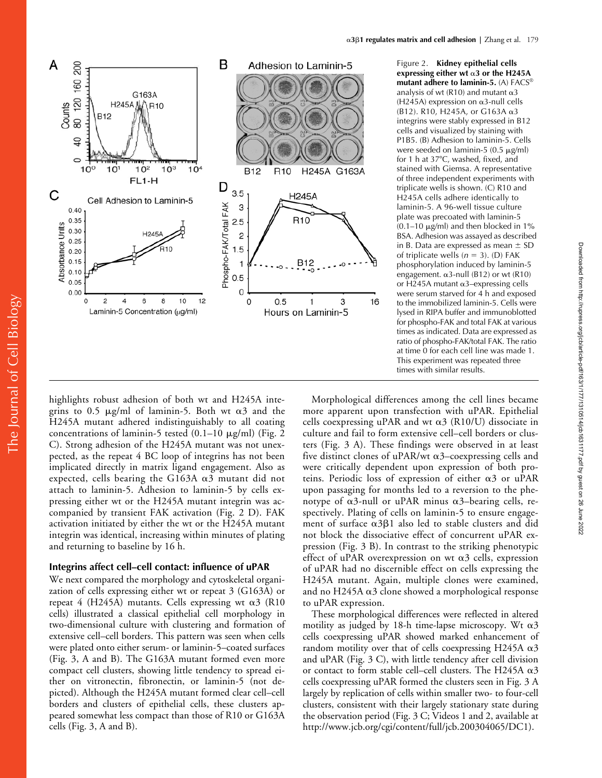

Figure 2. **Kidney epithelial cells**  expressing either wt  $\alpha$ 3 or the H245A **mutant adhere to laminin-5.** (A) FACS® analysis of wt (R10) and mutant  $\alpha$ 3  $(H245A)$  expression on  $\alpha$ 3-null cells (B12). R10, H245A, or G163A  $α3$ integrins were stably expressed in B12 cells and visualized by staining with P1B5. (B) Adhesion to laminin-5. Cells were seeded on laminin-5  $(0.5 \mu g/ml)$ for 1 h at 37°C, washed, fixed, and stained with Giemsa. A representative of three independent experiments with triplicate wells is shown. (C) R10 and H245A cells adhere identically to laminin-5. A 96-well tissue culture plate was precoated with laminin-5  $(0.1–10 \mu g/ml)$  and then blocked in 1% BSA. Adhesion was assayed as described in B. Data are expressed as mean  $\pm$  SD of triplicate wells  $(n = 3)$ . (D) FAK phosphorylation induced by laminin-5 engagement.  $\alpha$ 3-null (B12) or wt (R10) or H245A mutant  $\alpha$ 3-expressing cells were serum starved for 4 h and exposed to the immobilized laminin-5. Cells were lysed in RIPA buffer and immunoblotted for phospho-FAK and total FAK at various times as indicated. Data are expressed as ratio of phospho-FAK/total FAK. The ratio at time 0 for each cell line was made 1. This experiment was repeated three times with similar results.

highlights robust adhesion of both wt and H245A integrins to 0.5  $\mu$ g/ml of laminin-5. Both wt  $\alpha$ 3 and the H245A mutant adhered indistinguishably to all coating concentrations of laminin-5 tested  $(0.1-10 \mu g/ml)$  (Fig. 2) C). Strong adhesion of the H245A mutant was not unexpected, as the repeat 4 BC loop of integrins has not been implicated directly in matrix ligand engagement. Also as expected, cells bearing the G163A  $\alpha$ 3 mutant did not attach to laminin-5. Adhesion to laminin-5 by cells expressing either wt or the H245A mutant integrin was accompanied by transient FAK activation (Fig. 2 D). FAK activation initiated by either the wt or the H245A mutant integrin was identical, increasing within minutes of plating and returning to baseline by 16 h.

## **Integrins affect cell–cell contact: influence of uPAR**

We next compared the morphology and cytoskeletal organization of cells expressing either wt or repeat 3 (G163A) or repeat 4 (H245A) mutants. Cells expressing wt  $\alpha$ 3 (R10 cells) illustrated a classical epithelial cell morphology in two-dimensional culture with clustering and formation of extensive cell–cell borders. This pattern was seen when cells were plated onto either serum- or laminin-5–coated surfaces (Fig. 3, A and B). The G163A mutant formed even more compact cell clusters, showing little tendency to spread either on vitronectin, fibronectin, or laminin-5 (not depicted). Although the H245A mutant formed clear cell–cell borders and clusters of epithelial cells, these clusters appeared somewhat less compact than those of R10 or G163A cells (Fig. 3, A and B).

Morphological differences among the cell lines became more apparent upon transfection with uPAR. Epithelial cells coexpressing uPAR and wt  $\alpha$ 3 (R10/U) dissociate in culture and fail to form extensive cell–cell borders or clusters (Fig. 3 A). These findings were observed in at least five distinct clones of uPAR/wt  $\alpha$ 3–coexpressing cells and were critically dependent upon expression of both proteins. Periodic loss of expression of either  $\alpha$ 3 or uPAR upon passaging for months led to a reversion to the phenotype of  $\alpha$ 3-null or uPAR minus  $\alpha$ 3–bearing cells, respectively. Plating of cells on laminin-5 to ensure engagement of surface  $\alpha$ 3 $\beta$ 1 also led to stable clusters and did not block the dissociative effect of concurrent uPAR expression (Fig. 3 B). In contrast to the striking phenotypic effect of uPAR overexpression on wt  $\alpha$ 3 cells, expression of uPAR had no discernible effect on cells expressing the H245A mutant. Again, multiple clones were examined, and no H245A  $\alpha$ 3 clone showed a morphological response to uPAR expression.

These morphological differences were reflected in altered motility as judged by 18-h time-lapse microscopy. Wt  $\alpha$ 3 cells coexpressing uPAR showed marked enhancement of random motility over that of cells coexpressing H245A  $\alpha$ 3 and uPAR (Fig. 3 C), with little tendency after cell division or contact to form stable cell–cell clusters. The H245A  $\alpha$ 3 cells coexpressing uPAR formed the clusters seen in Fig. 3 A largely by replication of cells within smaller two- to four-cell clusters, consistent with their largely stationary state during the observation period (Fig. 3 C; Videos 1 and 2, available at http://www.jcb.org/cgi/content/full/jcb.200304065/DC1).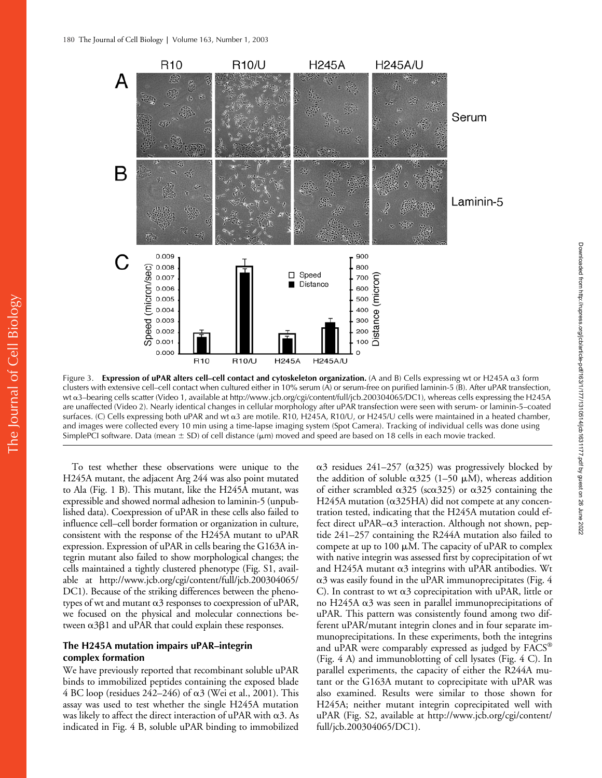

Figure 3. Expression of uPAR alters cell–cell contact and cytoskeleton organization. (A and B) Cells expressing wt or H245A α3 form clusters with extensive cell–cell contact when cultured either in 10% serum (A) or serum-free on purified laminin-5 (B). After uPAR transfection, wt α3–bearing cells scatter (Video 1, available at http://www.jcb.org/cgi/content/full/jcb.200304065/DC1), whereas cells expressing the H245A are unaffected (Video 2). Nearly identical changes in cellular morphology after uPAR transfection were seen with serum- or laminin-5–coated surfaces. (C) Cells expressing both uPAR and wt  $\alpha$ 3 are motile. R10, H245A, R10/U, or H245/U cells were maintained in a heated chamber, and images were collected every 10 min using a time-lapse imaging system (Spot Camera). Tracking of individual cells was done using SimplePCI software. Data (mean  $\pm$  SD) of cell distance ( $\mu$ m) moved and speed are based on 18 cells in each movie tracked.

To test whether these observations were unique to the H245A mutant, the adjacent Arg 244 was also point mutated to Ala (Fig. 1 B). This mutant, like the H245A mutant, was expressible and showed normal adhesion to laminin-5 (unpublished data). Coexpression of uPAR in these cells also failed to influence cell–cell border formation or organization in culture, consistent with the response of the H245A mutant to uPAR expression. Expression of uPAR in cells bearing the G163A integrin mutant also failed to show morphological changes; the cells maintained a tightly clustered phenotype (Fig. S1, available at http://www.jcb.org/cgi/content/full/jcb.200304065/ DC1). Because of the striking differences between the phenotypes of wt and mutant  $\alpha$ 3 responses to coexpression of uPAR, we focused on the physical and molecular connections between  $\alpha$ 3 $\beta$ 1 and uPAR that could explain these responses.

## **The H245A mutation impairs uPAR–integrin complex formation**

We have previously reported that recombinant soluble uPAR binds to immobilized peptides containing the exposed blade  $4$  BC loop (residues 242–246) of  $\alpha$ 3 (Wei et al., 2001). This assay was used to test whether the single H245A mutation was likely to affect the direct interaction of uPAR with  $\alpha$ 3. As indicated in Fig. 4 B, soluble uPAR binding to immobilized

 $\alpha$ 3 residues 241-257 ( $\alpha$ 325) was progressively blocked by the addition of soluble  $\alpha$ 325 (1–50 µM), whereas addition of either scrambled  $\alpha$ 325 (sc $\alpha$ 325) or  $\alpha$ 325 containing the H245A mutation ( $\alpha$ 325HA) did not compete at any concentration tested, indicating that the H245A mutation could effect direct uPAR– $\alpha$ 3 interaction. Although not shown, peptide 241–257 containing the R244A mutation also failed to compete at up to 100  $\mu$ M. The capacity of uPAR to complex with native integrin was assessed first by coprecipitation of wt and H245A mutant  $\alpha$ 3 integrins with uPAR antibodies. Wt  $\alpha$ 3 was easily found in the uPAR immunoprecipitates (Fig. 4 C). In contrast to wt  $\alpha$ 3 coprecipitation with uPAR, little or no H245A  $\alpha$ 3 was seen in parallel immunoprecipitations of uPAR. This pattern was consistently found among two different uPAR/mutant integrin clones and in four separate immunoprecipitations. In these experiments, both the integrins and uPAR were comparably expressed as judged by FACS® (Fig. 4 A) and immunoblotting of cell lysates (Fig. 4 C). In parallel experiments, the capacity of either the R244A mutant or the G163A mutant to coprecipitate with uPAR was also examined. Results were similar to those shown for H245A; neither mutant integrin coprecipitated well with uPAR (Fig. S2, available at http://www.jcb.org/cgi/content/ full/jcb.200304065/DC1).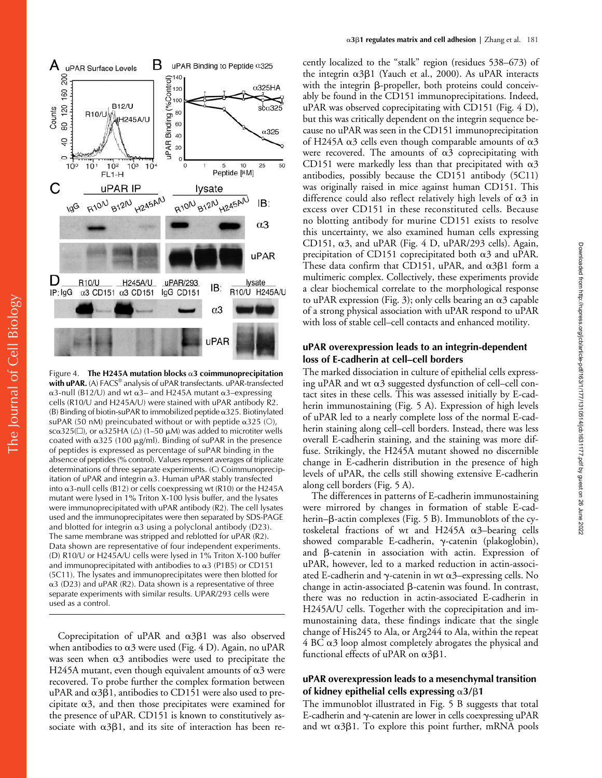

Figure 4. The H245A mutation blocks a 3 coimmunoprecipitation with uPAR. (A) FACS<sup>®</sup> analysis of uPAR transfectants. uPAR-transfected  $\alpha$ 3-null (B12/U) and wt  $\alpha$ 3– and H245A mutant  $\alpha$ 3–expressing cells (R10/U and H245A/U) were stained with uPAR antibody R2.  $(B)$  Binding of biotin-suPAR to immobilized peptide  $\alpha$ 325. Biotinylated suPAR (50 nM) preincubated without or with peptide  $\alpha$ 325 (O), sc $\alpha$ 325( $\Box$ ), or  $\alpha$ 325HA ( $\triangle$ ) (1–50  $\mu$ M) was added to microtiter wells coated with  $\alpha$ 325 (100  $\mu$ g/ml). Binding of suPAR in the presence of peptides is expressed as percentage of suPAR binding in the absence of peptides (% control). Values represent averages of triplicate determinations of three separate experiments. (C) Coimmunoprecipitation of uPAR and integrin  $\alpha$ 3. Human uPAR stably transfected into  $\alpha$ 3-null cells (B12) or cells coexpressing wt (R10) or the H245A mutant were lysed in 1% Triton X-100 lysis buffer, and the lysates were immunoprecipitated with uPAR antibody (R2). The cell lysates used and the immunoprecipitates were then separated by SDS-PAGE and blotted for integrin  $\alpha$ 3 using a polyclonal antibody (D23). The same membrane was stripped and reblotted for uPAR (R2). Data shown are representative of four independent experiments. (D) R10/U or H245A/U cells were lysed in 1% Triton X-100 buffer and immunoprecipitated with antibodies to  $\alpha$ 3 (P1B5) or CD151 (5C11). The lysates and immunoprecipitates were then blotted for  $\alpha$ 3 (D23) and uPAR (R2). Data shown is a representative of three separate experiments with similar results. UPAR/293 cells were used as a control.

Coprecipitation of uPAR and  $\alpha$ 3 $\beta$ 1 was also observed when antibodies to  $\alpha$ 3 were used (Fig. 4 D). Again, no uPAR was seen when  $\alpha$ 3 antibodies were used to precipitate the H245A mutant, even though equivalent amounts of  $\alpha$ 3 were recovered. To probe further the complex formation between uPAR and  $\alpha$ 3 $\beta$ 1, antibodies to CD151 were also used to precipitate  $\alpha$ 3, and then those precipitates were examined for the presence of uPAR. CD151 is known to constitutively associate with  $\alpha 3\beta 1$ , and its site of interaction has been recently localized to the "stalk" region (residues 538–673) of the integrin α3β1 (Yauch et al., 2000). As uPAR interacts with the integrin  $\beta$ -propeller, both proteins could conceivably be found in the CD151 immunoprecipitations. Indeed, uPAR was observed coprecipitating with CD151 (Fig. 4 D), but this was critically dependent on the integrin sequence because no uPAR was seen in the CD151 immunoprecipitation of H245A  $\alpha$ 3 cells even though comparable amounts of  $\alpha$ 3 were recovered. The amounts of  $\alpha$ 3 coprecipitating with CD151 were markedly less than that precipitated with  $\alpha$ 3 antibodies, possibly because the CD151 antibody (5C11) was originally raised in mice against human CD151. This difference could also reflect relatively high levels of  $\alpha$ 3 in excess over CD151 in these reconstituted cells. Because no blotting antibody for murine CD151 exists to resolve this uncertainty, we also examined human cells expressing CD151,  $\alpha$ 3, and uPAR (Fig. 4 D, uPAR/293 cells). Again, precipitation of CD151 coprecipitated both  $\alpha$ 3 and uPAR. These data confirm that CD151, uPAR, and  $\alpha$ 3 $\beta$ 1 form a multimeric complex. Collectively, these experiments provide a clear biochemical correlate to the morphological response to uPAR expression (Fig. 3); only cells bearing an  $\alpha$ 3 capable of a strong physical association with uPAR respond to uPAR with loss of stable cell–cell contacts and enhanced motility.

## **uPAR overexpression leads to an integrin-dependent loss of E-cadherin at cell–cell borders**

The marked dissociation in culture of epithelial cells expressing uPAR and wt  $\alpha$ 3 suggested dysfunction of cell–cell contact sites in these cells. This was assessed initially by E-cadherin immunostaining (Fig. 5 A). Expression of high levels of uPAR led to a nearly complete loss of the normal E-cadherin staining along cell–cell borders. Instead, there was less overall E-cadherin staining, and the staining was more diffuse. Strikingly, the H245A mutant showed no discernible change in E-cadherin distribution in the presence of high levels of uPAR, the cells still showing extensive E-cadherin along cell borders (Fig. 5 A).

The differences in patterns of E-cadherin immunostaining were mirrored by changes in formation of stable E-cadherin– $\beta$ -actin complexes (Fig. 5 B). Immunoblots of the cytoskeletal fractions of wt and H245A  $\alpha$ 3-bearing cells showed comparable E-cadherin,  $\gamma$ -catenin (plakoglobin), and B-catenin in association with actin. Expression of uPAR, however, led to a marked reduction in actin-associated E-cadherin and  $\gamma$ -catenin in wt  $\alpha$ 3–expressing cells. No change in actin-associated  $\beta$ -catenin was found. In contrast, there was no reduction in actin-associated E-cadherin in H245A/U cells. Together with the coprecipitation and immunostaining data, these findings indicate that the single change of His245 to Ala, or Arg244 to Ala, within the repeat  $4$  BC  $\alpha$ 3 loop almost completely abrogates the physical and functional effects of uPAR on  $\alpha$ 3 $\beta$ 1.

## **uPAR overexpression leads to a mesenchymal transition**  of kidney epithelial cells expressing  $\alpha$ 3/ $\beta$ 1

The immunoblot illustrated in Fig. 5 B suggests that total E-cadherin and  $\gamma$ -catenin are lower in cells coexpressing uPAR and wt  $\alpha$ 3 $\beta$ 1. To explore this point further, mRNA pools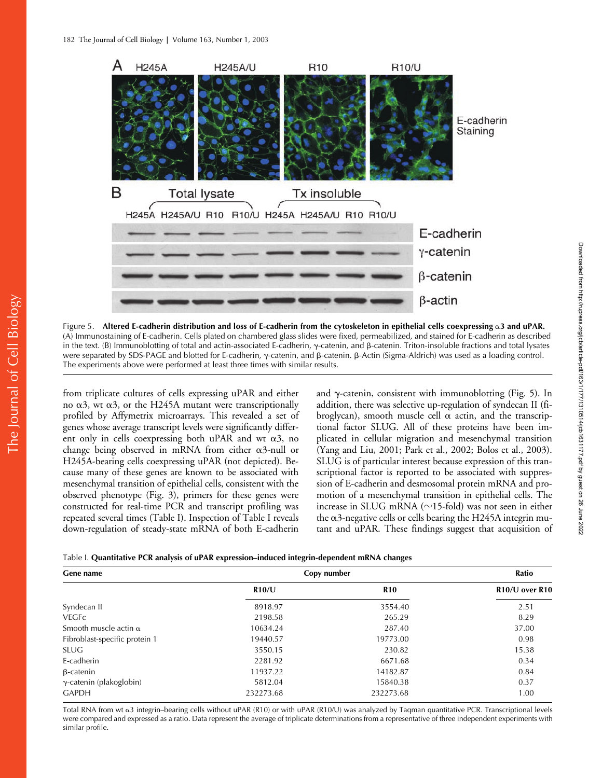

Figure 5. Altered E-cadherin distribution and loss of E-cadherin from the cytoskeleton in epithelial cells coexpressing  $\alpha$ 3 and uPAR. (A) Immunostaining of E-cadherin. Cells plated on chambered glass slides were fixed, permeabilized, and stained for E-cadherin as described in the text. (B) Immunoblotting of total and actin-associated E-cadherin,  $\gamma$ -catenin, and  $\beta$ -catenin. Triton-insoluble fractions and total lysates were separated by SDS-PAGE and blotted for E-cadherin, γ-catenin, and β-catenin. β-Actin (Sigma-Aldrich) was used as a loading control. The experiments above were performed at least three times with similar results.

from triplicate cultures of cells expressing uPAR and either no  $\alpha$ 3, wt  $\alpha$ 3, or the H245A mutant were transcriptionally profiled by Affymetrix microarrays. This revealed a set of genes whose average transcript levels were significantly different only in cells coexpressing both uPAR and wt  $\alpha$ 3, no change being observed in mRNA from either  $\alpha$ 3-null or H245A-bearing cells coexpressing uPAR (not depicted). Because many of these genes are known to be associated with mesenchymal transition of epithelial cells, consistent with the observed phenotype (Fig. 3), primers for these genes were constructed for real-time PCR and transcript profiling was repeated several times (Table I). Inspection of Table I reveals down-regulation of steady-state mRNA of both E-cadherin

and  $\gamma$ -catenin, consistent with immunoblotting (Fig. 5). In addition, there was selective up-regulation of syndecan II (fibroglycan), smooth muscle cell  $\alpha$  actin, and the transcriptional factor SLUG. All of these proteins have been implicated in cellular migration and mesenchymal transition (Yang and Liu, 2001; Park et al., 2002; Bolos et al., 2003). SLUG is of particular interest because expression of this transcriptional factor is reported to be associated with suppression of E-cadherin and desmosomal protein mRNA and promotion of a mesenchymal transition in epithelial cells. The increase in SLUG mRNA ( $\sim$ 15-fold) was not seen in either the  $\alpha$ 3-negative cells or cells bearing the H245A integrin mutant and uPAR. These findings suggest that acquisition of

|  |  | Table I. Quantitative PCR analysis of uPAR expression-induced integrin-dependent mRNA changes |  |  |
|--|--|-----------------------------------------------------------------------------------------------|--|--|
|--|--|-----------------------------------------------------------------------------------------------|--|--|

| Gene name                       | Copy number | Ratio      |                                         |
|---------------------------------|-------------|------------|-----------------------------------------|
|                                 | R10/U       | <b>R10</b> | R <sub>10</sub> /U over R <sub>10</sub> |
| Syndecan II                     | 8918.97     | 3554.40    | 2.51                                    |
| <b>VEGFC</b>                    | 2198.58     | 265.29     | 8.29                                    |
| Smooth muscle actin $\alpha$    | 10634.24    | 287.40     | 37.00                                   |
| Fibroblast-specific protein 1   | 19440.57    | 19773.00   | 0.98                                    |
| <b>SLUG</b>                     | 3550.15     | 230.82     | 15.38                                   |
| E-cadherin                      | 2281.92     | 6671.68    | 0.34                                    |
| $\beta$ -catenin                | 11937.22    | 14182.87   | 0.84                                    |
| $\gamma$ -catenin (plakoglobin) | 5812.04     | 15840.38   | 0.37                                    |
| <b>GAPDH</b>                    | 232273.68   | 232273.68  | 1.00                                    |

Total RNA from wt  $\alpha$ 3 integrin–bearing cells without uPAR (R10) or with uPAR (R10/U) was analyzed by Taqman quantitative PCR. Transcriptional levels were compared and expressed as a ratio. Data represent the average of triplicate determinations from a representative of three independent experiments with similar profile.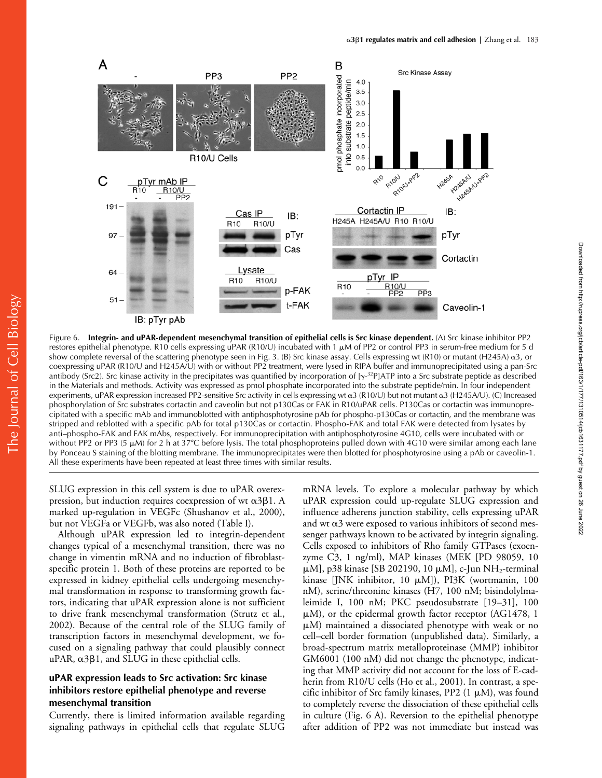

Figure 6. **Integrin- and uPAR-dependent mesenchymal transition of epithelial cells is Src kinase dependent.** (A) Src kinase inhibitor PP2 restores epithelial phenotype. R10 cells expressing uPAR (R10/U) incubated with 1  $\mu$ M of PP2 or control PP3 in serum-free medium for 5 d show complete reversal of the scattering phenotype seen in Fig. 3. (B) Src kinase assay. Cells expressing wt (R10) or mutant (H245A)  $\alpha$ 3, or coexpressing uPAR (R10/U and H245A/U) with or without PP2 treatment, were lysed in RIPA buffer and immunoprecipitated using a pan-Src antibody (Src2). Src kinase activity in the precipitates was quantified by incorporation of  $[\gamma^{-32}P]$ ATP into a Src substrate peptide as described in the Materials and methods. Activity was expressed as pmol phosphate incorporated into the substrate peptide/min. In four independent experiments, uPAR expression increased PP2-sensitive Src activity in cells expressing wt  $\alpha$ 3 (R10/U) but not mutant  $\alpha$ 3 (H245A/U). (C) Increased phosphorylation of Src substrates cortactin and caveolin but not p130Cas or FAK in R10/uPAR cells. P130Cas or cortactin was immunoprecipitated with a specific mAb and immunoblotted with antiphosphotyrosine pAb for phospho-p130Cas or cortactin, and the membrane was stripped and reblotted with a specific pAb for total p130Cas or cortactin. Phospho-FAK and total FAK were detected from lysates by anti–phospho-FAK and FAK mAbs, respectively. For immunoprecipitation with antiphosphotyrosine 4G10, cells were incubated with or without PP2 or PP3 (5  $\mu$ M) for 2 h at 37°C before lysis. The total phosphoproteins pulled down with 4G10 were similar among each lane by Ponceau S staining of the blotting membrane. The immunoprecipitates were then blotted for phosphotyrosine using a pAb or caveolin-1. All these experiments have been repeated at least three times with similar results.

SLUG expression in this cell system is due to uPAR overexpression, but induction requires coexpression of wt  $\alpha$ 3 $\beta$ 1. A marked up-regulation in VEGFc (Shushanov et al., 2000), but not VEGFa or VEGFb, was also noted (Table I).

Although uPAR expression led to integrin-dependent changes typical of a mesenchymal transition, there was no change in vimentin mRNA and no induction of fibroblastspecific protein 1. Both of these proteins are reported to be expressed in kidney epithelial cells undergoing mesenchymal transformation in response to transforming growth factors, indicating that uPAR expression alone is not sufficient to drive frank mesenchymal transformation (Strutz et al., 2002). Because of the central role of the SLUG family of transcription factors in mesenchymal development, we focused on a signaling pathway that could plausibly connect  $uPAR, \alpha 3\beta 1$ , and SLUG in these epithelial cells.

## **uPAR expression leads to Src activation: Src kinase inhibitors restore epithelial phenotype and reverse mesenchymal transition**

Currently, there is limited information available regarding signaling pathways in epithelial cells that regulate SLUG

mRNA levels. To explore a molecular pathway by which uPAR expression could up-regulate SLUG expression and influence adherens junction stability, cells expressing uPAR and wt  $\alpha$ 3 were exposed to various inhibitors of second messenger pathways known to be activated by integrin signaling. Cells exposed to inhibitors of Rho family GTPases (exoenzyme C3, 1 ng/ml), MAP kinases (MEK [PD 98059, 10  $\mu$ M], p38 kinase [SB 202190, 10  $\mu$ M], c-Jun NH<sub>2</sub>-terminal kinase [JNK inhibitor, 10  $\mu$ M]), PI3K (wortmanin, 100 nM), serine/threonine kinases (H7, 100 nM; bisindolylmaleimide I, 100 nM; PKC pseudosubstrate [19–31], 100  $\mu$ M), or the epidermal growth factor receptor (AG1478, 1  $\mu$ M) maintained a dissociated phenotype with weak or no cell–cell border formation (unpublished data). Similarly, a broad-spectrum matrix metalloproteinase (MMP) inhibitor GM6001 (100 nM) did not change the phenotype, indicating that MMP activity did not account for the loss of E-cadherin from R10/U cells (Ho et al., 2001). In contrast, a specific inhibitor of Src family kinases, PP2  $(1 \mu M)$ , was found to completely reverse the dissociation of these epithelial cells in culture (Fig. 6 A). Reversion to the epithelial phenotype after addition of PP2 was not immediate but instead was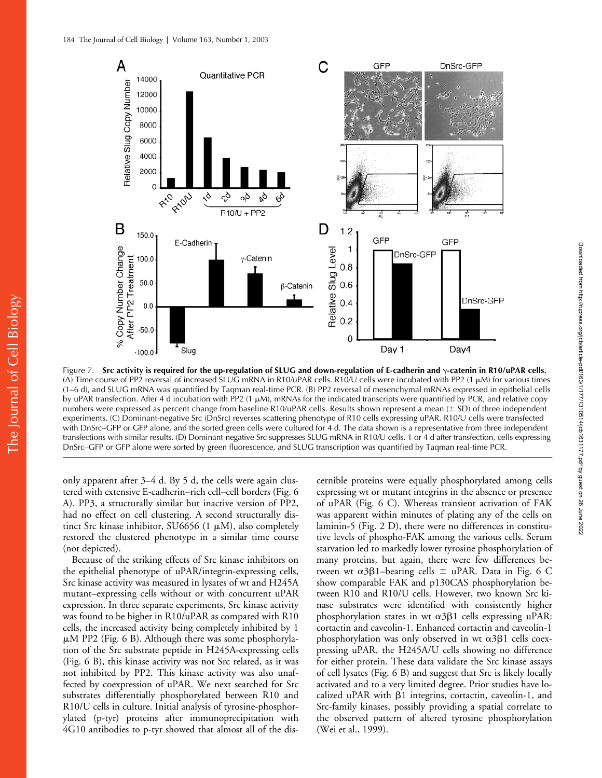

Figure 7. Src activity is required for the up-regulation of SLUG and down-regulation of E-cadherin and  $\gamma$ -catenin in R10/uPAR cells. (A) Time course of PP2 reversal of increased SLUG mRNA in R10/uPAR cells. R10/U cells were incubated with PP2 (1  $\mu$ M) for various times (1–6 d), and SLUG mRNA was quantified by Taqman real-time PCR. (B) PP2 reversal of mesenchymal mRNAs expressed in epithelial cells by uPAR transfection. After 4 d incubation with PP2 (1  $\mu$ M), mRNAs for the indicated transcripts were quantified by PCR, and relative copy numbers were expressed as percent change from baseline R10/uPAR cells. Results shown represent a mean  $(\pm SD)$  of three independent experiments. (C) Dominant-negative Src (DnSrc) reverses scattering phenotype of R10 cells expressing uPAR. R10/U cells were transfected with DnSrc–GFP or GFP alone, and the sorted green cells were cultured for 4 d. The data shown is a representative from three independent transfections with similar results. (D) Dominant-negative Src suppresses SLUG mRNA in R10/U cells. 1 or 4 d after transfection, cells expressing DnSrc–GFP or GFP alone were sorted by green fluorescence, and SLUG transcription was quantified by Taqman real-time PCR.

only apparent after 3–4 d. By 5 d, the cells were again clustered with extensive E-cadherin–rich cell–cell borders (Fig. 6 A). PP3, a structurally similar but inactive version of PP2, had no effect on cell clustering. A second structurally distinct Src kinase inhibitor, SU6656 (1  $\mu$ M), also completely restored the clustered phenotype in a similar time course (not depicted).

Because of the striking effects of Src kinase inhibitors on the epithelial phenotype of uPAR/integrin-expressing cells, Src kinase activity was measured in lysates of wt and H245A mutant–expressing cells without or with concurrent uPAR expression. In three separate experiments, Src kinase activity was found to be higher in R10/uPAR as compared with R10 cells, the increased activity being completely inhibited by 1 M PP2 (Fig. 6 B). Although there was some phosphorylation of the Src substrate peptide in H245A-expressing cells (Fig. 6 B), this kinase activity was not Src related, as it was not inhibited by PP2. This kinase activity was also unaffected by coexpression of uPAR. We next searched for Src substrates differentially phosphorylated between R10 and R10/U cells in culture. Initial analysis of tyrosine-phosphorylated (p-tyr) proteins after immunoprecipitation with 4G10 antibodies to p-tyr showed that almost all of the dis-

cernible proteins were equally phosphorylated among cells expressing wt or mutant integrins in the absence or presence of uPAR (Fig. 6 C). Whereas transient activation of FAK was apparent within minutes of plating any of the cells on laminin-5 (Fig. 2 D), there were no differences in constitutive levels of phospho-FAK among the various cells. Serum starvation led to markedly lower tyrosine phosphorylation of many proteins, but again, there were few differences between wt  $\alpha$ 3 $\beta$ 1-bearing cells  $\pm$  uPAR. Data in Fig. 6 C show comparable FAK and p130CAS phosphorylation between R10 and R10/U cells. However, two known Src kinase substrates were identified with consistently higher phosphorylation states in wt  $\alpha$ 3 $\beta$ 1 cells expressing uPAR: cortactin and caveolin-1. Enhanced cortactin and caveolin-1 phosphorylation was only observed in wt  $\alpha$ 3 $\beta$ 1 cells coexpressing uPAR, the H245A/U cells showing no difference for either protein. These data validate the Src kinase assays of cell lysates (Fig. 6 B) and suggest that Src is likely locally activated and to a very limited degree. Prior studies have localized uPAR with  $\beta$ 1 integrins, cortactin, caveolin-1, and Src-family kinases, possibly providing a spatial correlate to the observed pattern of altered tyrosine phosphorylation (Wei et al., 1999).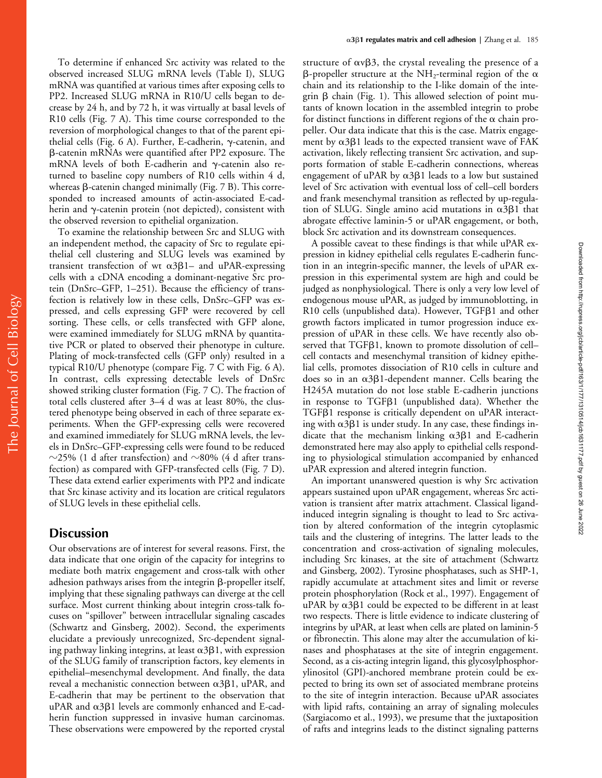To determine if enhanced Src activity was related to the observed increased SLUG mRNA levels (Table I), SLUG mRNA was quantified at various times after exposing cells to PP2. Increased SLUG mRNA in R10/U cells began to decrease by 24 h, and by 72 h, it was virtually at basal levels of R10 cells (Fig. 7 A). This time course corresponded to the reversion of morphological changes to that of the parent epithelial cells (Fig. 6 A). Further, E-cadherin,  $\gamma$ -catenin, and -catenin mRNAs were quantified after PP2 exposure. The mRNA levels of both E-cadherin and  $\gamma$ -catenin also returned to baseline copy numbers of R10 cells within 4 d, whereas  $\beta$ -catenin changed minimally (Fig. 7 B). This corresponded to increased amounts of actin-associated E-cadherin and  $\gamma$ -catenin protein (not depicted), consistent with the observed reversion to epithelial organization.

To examine the relationship between Src and SLUG with an independent method, the capacity of Src to regulate epithelial cell clustering and SLUG levels was examined by transient transfection of wt  $\alpha 3\beta 1-$  and uPAR-expressing cells with a cDNA encoding a dominant-negative Src protein (DnSrc–GFP, 1–251). Because the efficiency of transfection is relatively low in these cells, DnSrc–GFP was expressed, and cells expressing GFP were recovered by cell sorting. These cells, or cells transfected with GFP alone, were examined immediately for SLUG mRNA by quantitative PCR or plated to observed their phenotype in culture. Plating of mock-transfected cells (GFP only) resulted in a typical R10/U phenotype (compare Fig. 7 C with Fig. 6 A). In contrast, cells expressing detectable levels of DnSrc showed striking cluster formation (Fig. 7 C). The fraction of total cells clustered after 3–4 d was at least 80%, the clustered phenotype being observed in each of three separate experiments. When the GFP-expressing cells were recovered and examined immediately for SLUG mRNA levels, the levels in DnSrc–GFP-expressing cells were found to be reduced  $\sim$ 25% (1 d after transfection) and  $\sim$ 80% (4 d after transfection) as compared with GFP-transfected cells (Fig. 7 D). These data extend earlier experiments with PP2 and indicate that Src kinase activity and its location are critical regulators of SLUG levels in these epithelial cells.

# **Discussion**

Our observations are of interest for several reasons. First, the data indicate that one origin of the capacity for integrins to mediate both matrix engagement and cross-talk with other adhesion pathways arises from the integrin  $\beta$ -propeller itself, implying that these signaling pathways can diverge at the cell surface. Most current thinking about integrin cross-talk focuses on "spillover" between intracellular signaling cascades (Schwartz and Ginsberg, 2002). Second, the experiments elucidate a previously unrecognized, Src-dependent signaling pathway linking integrins, at least  $\alpha$ 3 $\beta$ 1, with expression of the SLUG family of transcription factors, key elements in epithelial–mesenchymal development. And finally, the data reveal a mechanistic connection between  $\alpha$ 3 $\beta$ 1, uPAR, and E-cadherin that may be pertinent to the observation that  $uPAR$  and  $\alpha$ 3 $\beta$ 1 levels are commonly enhanced and E-cadherin function suppressed in invasive human carcinomas. These observations were empowered by the reported crystal

structure of  $\alpha$ v $\beta$ 3, the crystal revealing the presence of a  $\beta$ -propeller structure at the NH<sub>2</sub>-terminal region of the  $\alpha$ chain and its relationship to the I-like domain of the integrin  $\beta$  chain (Fig. 1). This allowed selection of point mutants of known location in the assembled integrin to probe for distinct functions in different regions of the  $\alpha$  chain propeller. Our data indicate that this is the case. Matrix engagement by  $\alpha$ 3 $\beta$ 1 leads to the expected transient wave of FAK activation, likely reflecting transient Src activation, and supports formation of stable E-cadherin connections, whereas engagement of uPAR by  $\alpha$ 3 $\beta$ 1 leads to a low but sustained level of Src activation with eventual loss of cell–cell borders and frank mesenchymal transition as reflected by up-regulation of SLUG. Single amino acid mutations in  $\alpha$ 3 $\beta$ 1 that abrogate effective laminin-5 or uPAR engagement, or both, block Src activation and its downstream consequences.

A possible caveat to these findings is that while uPAR expression in kidney epithelial cells regulates E-cadherin function in an integrin-specific manner, the levels of uPAR expression in this experimental system are high and could be judged as nonphysiological. There is only a very low level of endogenous mouse uPAR, as judged by immunoblotting, in R10 cells (unpublished data). However, TGFB1 and other growth factors implicated in tumor progression induce expression of uPAR in these cells. We have recently also observed that  $TGF\beta1$ , known to promote dissolution of cellcell contacts and mesenchymal transition of kidney epithelial cells, promotes dissociation of R10 cells in culture and does so in an  $\alpha$ 3 $\beta$ 1-dependent manner. Cells bearing the H245A mutation do not lose stable E-cadherin junctions in response to TGFB1 (unpublished data). Whether the TGF<sub>B1</sub> response is critically dependent on uPAR interacting with  $\alpha$ 3 $\beta$ 1 is under study. In any case, these findings indicate that the mechanism linking  $\alpha$ 3 $\beta$ 1 and E-cadherin demonstrated here may also apply to epithelial cells responding to physiological stimulation accompanied by enhanced uPAR expression and altered integrin function.

An important unanswered question is why Src activation appears sustained upon uPAR engagement, whereas Src activation is transient after matrix attachment. Classical ligandinduced integrin signaling is thought to lead to Src activation by altered conformation of the integrin cytoplasmic tails and the clustering of integrins. The latter leads to the concentration and cross-activation of signaling molecules, including Src kinases, at the site of attachment (Schwartz and Ginsberg, 2002). Tyrosine phosphatases, such as SHP-1, rapidly accumulate at attachment sites and limit or reverse protein phosphorylation (Rock et al., 1997). Engagement of uPAR by  $\alpha$ 3 $\beta$ 1 could be expected to be different in at least two respects. There is little evidence to indicate clustering of integrins by uPAR, at least when cells are plated on laminin-5 or fibronectin. This alone may alter the accumulation of kinases and phosphatases at the site of integrin engagement. Second, as a cis-acting integrin ligand, this glycosylphosphorylinositol (GPI)-anchored membrane protein could be expected to bring its own set of associated membrane proteins to the site of integrin interaction. Because uPAR associates with lipid rafts, containing an array of signaling molecules (Sargiacomo et al., 1993), we presume that the juxtaposition of rafts and integrins leads to the distinct signaling patterns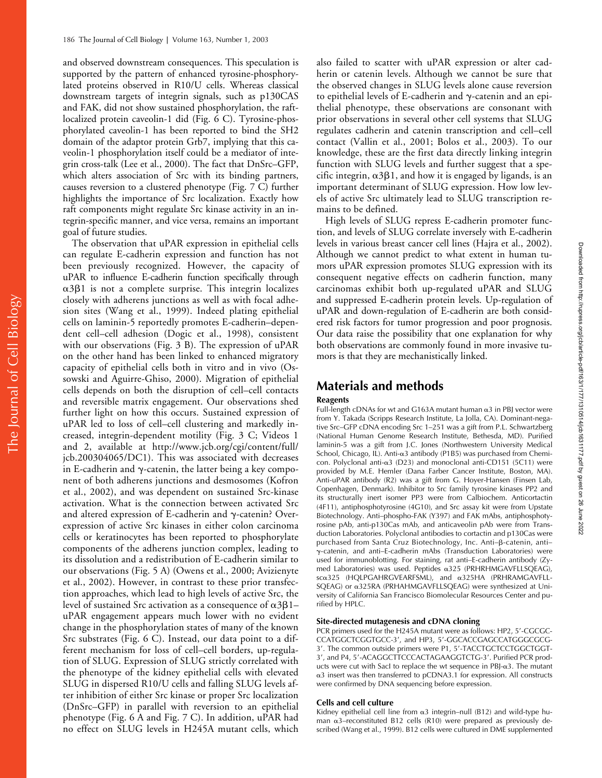and observed downstream consequences. This speculation is supported by the pattern of enhanced tyrosine-phosphorylated proteins observed in R10/U cells. Whereas classical downstream targets of integrin signals, such as p130CAS and FAK, did not show sustained phosphorylation, the raftlocalized protein caveolin-1 did (Fig. 6 C). Tyrosine-phosphorylated caveolin-1 has been reported to bind the SH2 domain of the adaptor protein Grb7, implying that this caveolin-1 phosphorylation itself could be a mediator of integrin cross-talk (Lee et al., 2000). The fact that DnSrc–GFP, which alters association of Src with its binding partners, causes reversion to a clustered phenotype (Fig. 7 C) further highlights the importance of Src localization. Exactly how raft components might regulate Src kinase activity in an integrin-specific manner, and vice versa, remains an important goal of future studies.

The observation that uPAR expression in epithelial cells can regulate E-cadherin expression and function has not been previously recognized. However, the capacity of uPAR to influence E-cadherin function specifically through  $\alpha$ 3 $\beta$ 1 is not a complete surprise. This integrin localizes closely with adherens junctions as well as with focal adhesion sites (Wang et al., 1999). Indeed plating epithelial cells on laminin-5 reportedly promotes E-cadherin–dependent cell–cell adhesion (Dogic et al., 1998), consistent with our observations (Fig. 3 B). The expression of uPAR on the other hand has been linked to enhanced migratory capacity of epithelial cells both in vitro and in vivo (Ossowski and Aguirre-Ghiso, 2000). Migration of epithelial cells depends on both the disruption of cell–cell contacts and reversible matrix engagement. Our observations shed further light on how this occurs. Sustained expression of uPAR led to loss of cell–cell clustering and markedly increased, integrin-dependent motility (Fig. 3 C; Videos 1 and 2, available at http://www.jcb.org/cgi/content/full/ jcb.200304065/DC1). This was associated with decreases in E-cadherin and  $\gamma$ -catenin, the latter being a key component of both adherens junctions and desmosomes (Kofron et al., 2002), and was dependent on sustained Src-kinase activation. What is the connection between activated Src and altered expression of E-cadherin and  $\gamma$ -catenin? Overexpression of active Src kinases in either colon carcinoma cells or keratinocytes has been reported to phosphorylate components of the adherens junction complex, leading to its dissolution and a redistribution of E-cadherin similar to our observations (Fig. 5 A) (Owens et al., 2000; Avizienyte et al., 2002). However, in contrast to these prior transfection approaches, which lead to high levels of active Src, the level of sustained Src activation as a consequence of  $\alpha$ 3 $\beta$ 1– uPAR engagement appears much lower with no evident change in the phosphorylation states of many of the known Src substrates (Fig. 6 C). Instead, our data point to a different mechanism for loss of cell–cell borders, up-regulation of SLUG. Expression of SLUG strictly correlated with the phenotype of the kidney epithelial cells with elevated SLUG in dispersed R10/U cells and falling SLUG levels after inhibition of either Src kinase or proper Src localization (DnSrc–GFP) in parallel with reversion to an epithelial phenotype (Fig. 6 A and Fig. 7 C). In addition, uPAR had no effect on SLUG levels in H245A mutant cells, which

also failed to scatter with uPAR expression or alter cadherin or catenin levels. Although we cannot be sure that the observed changes in SLUG levels alone cause reversion to epithelial levels of E-cadherin and  $\gamma$ -catenin and an epithelial phenotype, these observations are consonant with prior observations in several other cell systems that SLUG regulates cadherin and catenin transcription and cell–cell contact (Vallin et al., 2001; Bolos et al., 2003). To our knowledge, these are the first data directly linking integrin function with SLUG levels and further suggest that a specific integrin,  $\alpha$ 3 $\beta$ 1, and how it is engaged by ligands, is an important determinant of SLUG expression. How low levels of active Src ultimately lead to SLUG transcription remains to be defined.

High levels of SLUG repress E-cadherin promoter function, and levels of SLUG correlate inversely with E-cadherin levels in various breast cancer cell lines (Hajra et al., 2002). Although we cannot predict to what extent in human tumors uPAR expression promotes SLUG expression with its consequent negative effects on cadherin function, many carcinomas exhibit both up-regulated uPAR and SLUG and suppressed E-cadherin protein levels. Up-regulation of uPAR and down-regulation of E-cadherin are both considered risk factors for tumor progression and poor prognosis. Our data raise the possibility that one explanation for why both observations are commonly found in more invasive tumors is that they are mechanistically linked.

# **Materials and methods**

#### **Reagents**

Full-length cDNAs for wt and G163A mutant human  $\alpha$ 3 in PBJ vector were from Y. Takada (Scripps Research Institute, La Jolla, CA). Dominant-negative Src–GFP cDNA encoding Src 1–251 was a gift from P.L. Schwartzberg (National Human Genome Research Institute, Bethesda, MD). Purified laminin-5 was a gift from J.C. Jones (Northwestern University Medical School, Chicago, IL). Anti- $\alpha$ 3 antibody (P1B5) was purchased from Chemicon. Polyclonal anti- $\alpha$ 3 (D23) and monoclonal anti-CD151 (5C11) were provided by M.E. Hemler (Dana Farber Cancer Institute, Boston, MA). Anti-uPAR antibody (R2) was a gift from G. Hoyer-Hansen (Finsen Lab, Copenhagen, Denmark). Inhibitor to Src family tyrosine kinases PP2 and its structurally inert isomer PP3 were from Calbiochem. Anticortactin (4F11), antiphosphotyrosine (4G10), and Src assay kit were from Upstate Biotechnology. Anti–phospho-FAK (Y397) and FAK mAbs, antiphosphotyrosine pAb, anti-p130Cas mAb, and anticaveolin pAb were from Transduction Laboratories. Polyclonal antibodies to cortactin and p130Cas were purchased from Santa Cruz Biotechnology, Inc. Anti-B-catenin, anti--catenin, and anti–E-cadherin mAbs (Transduction Laboratories) were used for immunoblotting. For staining, rat anti–E-cadherin antibody (Zymed Laboratories) was used. Peptides & 325 (PRHRHMGAVFLLSQEAG), scα325 (HQLPGAHRGVEARFSML), and α325HA (PRHRAMGAVFLL-SQEAG) or a325RA (PRHAHMGAVFLLSQEAG) were synthesized at University of California San Francisco Biomolecular Resources Center and purified by HPLC.

#### **Site-directed mutagenesis and cDNA cloning**

PCR primers used for the H245A mutant were as follows: HP2, 5 -CGCGC-CCATGGCTCGGTGCC-3 , and HP3, 5 -GGCACCGAGCCATGGGCGCG-3 . The common outside primers were P1, 5 -TACCTGCTCCTGGCTGGT-3 , and P4, 5 -ACAGGCTTCCCACTAGAAGGTCTG-3 . Purified PCR products were cut with SacI to replace the wt sequence in PBJ- $\alpha$ 3. The mutant α3 insert was then transferred to pCDNA3.1 for expression. All constructs were confirmed by DNA sequencing before expression.

#### **Cells and cell culture**

Kidney epithelial cell line from  $\alpha$ 3 integrin–null (B12) and wild-type human  $\alpha$ 3–reconstituted B12 cells (R10) were prepared as previously described (Wang et al., 1999). B12 cells were cultured in DME supplemented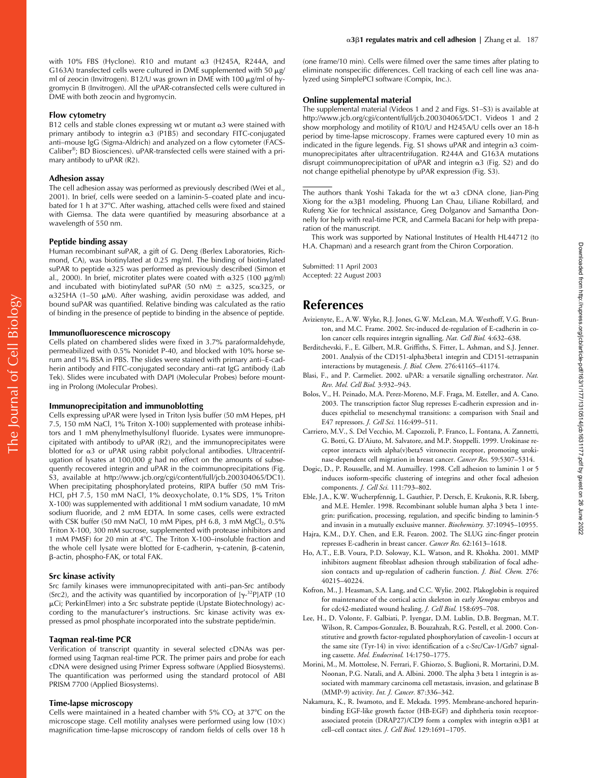with 10% FBS (Hyclone). R10 and mutant  $\alpha$ 3 (H245A, R244A, and G163A) transfected cells were cultured in DME supplemented with 50  $\mu$ g/ ml of zeocin (Invitrogen). B12/U was grown in DME with 100  $\mu$ g/ml of hygromycin B (Invitrogen). All the uPAR-cotransfected cells were cultured in DME with both zeocin and hygromycin.

#### **Flow cytometry**

B12 cells and stable clones expressing wt or mutant  $\alpha$ 3 were stained with primary antibody to integrin  $\alpha$ 3 (P1B5) and secondary FITC-conjugated anti–mouse IgG (Sigma-Aldrich) and analyzed on a flow cytometer (FACS-Caliber®; BD Biosciences). uPAR-transfected cells were stained with a primary antibody to uPAR (R2).

#### **Adhesion assay**

The cell adhesion assay was performed as previously described (Wei et al., 2001). In brief, cells were seeded on a laminin-5–coated plate and incubated for 1 h at 37°C. After washing, attached cells were fixed and stained with Giemsa. The data were quantified by measuring absorbance at a wavelength of 550 nm.

#### **Peptide binding assay**

Human recombinant suPAR, a gift of G. Deng (Berlex Laboratories, Richmond, CA), was biotinylated at 0.25 mg/ml. The binding of biotinylated suPAR to peptide &325 was performed as previously described (Simon et al., 2000). In brief, microtiter plates were coated with  $\alpha$ 325 (100  $\mu$ g/ml) and incubated with biotinylated suPAR (50 nM)  $\pm$   $\alpha$ 325, sc $\alpha$ 325, or α325HA (1–50 μM). After washing, avidin peroxidase was added, and bound suPAR was quantified. Relative binding was calculated as the ratio of binding in the presence of peptide to binding in the absence of peptide.

#### **Immunofluorescence microscopy**

Cells plated on chambered slides were fixed in 3.7% paraformaldehyde, permeabilized with 0.5% Nonidet P-40, and blocked with 10% horse serum and 1% BSA in PBS. The slides were stained with primary anti–E-cadherin antibody and FITC-conjugated secondary anti–rat IgG antibody (Lab Tek). Slides were incubated with DAPI (Molecular Probes) before mounting in Prolong (Molecular Probes).

#### **Immunoprecipitation and immunoblotting**

Cells expressing uPAR were lysed in Triton lysis buffer (50 mM Hepes, pH 7.5, 150 mM NaCl, 1% Triton X-100) supplemented with protease inhibitors and 1 mM phenylmethylsulfonyl fluoride. Lysates were immunoprecipitated with antibody to uPAR  $(R2)$ , and the immunoprecipitates were blotted for α3 or uPAR using rabbit polyclonal antibodies. Ultracentrifugation of lysates at 100,000 g had no effect on the amounts of subsequently recovered integrin and uPAR in the coimmunoprecipitations (Fig. S3, available at http://www.jcb.org/cgi/content/full/jcb.200304065/DC1). When precipitating phosphorylated proteins, RIPA buffer (50 mM Tris-HCl, pH 7.5, 150 mM NaCl, 1% deoxycholate, 0.1% SDS, 1% Triton X-100) was supplemented with additional 1 mM sodium vanadate, 10 mM sodium fluoride, and 2 mM EDTA. In some cases, cells were extracted with CSK buffer (50 mM NaCl, 10 mM Pipes, pH  $6.8$ , 3 mM MgCl<sub>2</sub>, 0.5% Triton X-100, 300 mM sucrose, supplemented with protease inhibitors and 1 mM PMSF) for 20 min at 4°C. The Triton X-100–insoluble fraction and the whole cell lysate were blotted for E-cadherin,  $\gamma$ -catenin,  $\beta$ -catenin, -actin, phospho-FAK, or total FAK.

#### **Src kinase activity**

Src family kinases were immunoprecipitated with anti–pan-Src antibody (Src2), and the activity was quantified by incorporation of  $[\gamma^{32}P]$ ATP (10 Ci; PerkinElmer) into a Src substrate peptide (Upstate Biotechnology) according to the manufacturer's instructions. Src kinase activity was expressed as pmol phosphate incorporated into the substrate peptide/min.

#### **Taqman real-time PCR**

Verification of transcript quantity in several selected cDNAs was performed using Taqman real-time PCR. The primer pairs and probe for each cDNA were designed using Primer Express software (Applied Biosystems). The quantification was performed using the standard protocol of ABI PRISM 7700 (Applied Biosystems).

#### **Time-lapse microscopy**

Cells were maintained in a heated chamber with  $5\%$  CO<sub>2</sub> at  $37^{\circ}$ C on the microscope stage. Cell motility analyses were performed using low  $(10\times)$ magnification time-lapse microscopy of random fields of cells over 18 h (one frame/10 min). Cells were filmed over the same times after plating to eliminate nonspecific differences. Cell tracking of each cell line was analyzed using SimplePCI software (Compix, Inc.).

#### **Online supplemental material**

The supplemental material (Videos 1 and 2 and Figs. S1–S3) is available at http://www.jcb.org/cgi/content/full/jcb.200304065/DC1. Videos 1 and 2 show morphology and motility of R10/U and H245A/U cells over an 18-h period by time-lapse microscopy. Frames were captured every 10 min as indicated in the figure legends. Fig. S1 shows uPAR and integrin  $\alpha$ 3 coimmunoprecipitates after ultracentrifugation. R244A and G163A mutations disrupt coimmunoprecipitation of uPAR and integrin  $\alpha$ 3 (Fig. S2) and do not change epithelial phenotype by uPAR expression (Fig. S3).

The authors thank Yoshi Takada for the wt  $\alpha$ 3 cDNA clone, Jian-Ping Xiong for the  $\alpha$ 3 $\beta$ 1 modeling, Phuong Lan Chau, Liliane Robillard, and Rufeng Xie for technical assistance, Greg Dolganov and Samantha Donnelly for help with real-time PCR, and Carmela Bacani for help with preparation of the manuscript.

This work was supported by National Institutes of Health HL44712 (to H.A. Chapman) and a research grant from the Chiron Corporation.

Submitted: 11 April 2003 Accepted: 22 August 2003

# **References**

- Avizienyte, E., A.W. Wyke, R.J. Jones, G.W. McLean, M.A. Westhoff, V.G. Brunton, and M.C. Frame. 2002. Src-induced de-regulation of E-cadherin in colon cancer cells requires integrin signalling. *Nat. Cell Biol.* 4:632–638.
- Berditchevski, F., E. Gilbert, M.R. Griffiths, S. Fitter, L. Ashman, and S.J. Jenner. 2001. Analysis of the CD151-alpha3beta1 integrin and CD151-tetraspanin interactions by mutagenesis. *J. Biol. Chem.* 276:41165–41174.
- Blasi, F., and P. Carmeliet. 2002. uPAR: a versatile signalling orchestrator. *Nat. Rev. Mol. Cell Biol.* 3:932–943.
- Bolos, V., H. Peinado, M.A. Perez-Moreno, M.F. Fraga, M. Esteller, and A. Cano. 2003. The transcription factor Slug represses E-cadherin expression and induces epithelial to mesenchymal transitions: a comparison with Snail and E47 repressors. *J. Cell Sci.* 116:499–511.
- Carriero, M.V., S. Del Vecchio, M. Capozzoli, P. Franco, L. Fontana, A. Zannetti, G. Botti, G. D'Aiuto, M. Salvatore, and M.P. Stoppelli. 1999. Urokinase receptor interacts with alpha(v)beta5 vitronectin receptor, promoting urokinase-dependent cell migration in breast cancer. *Cancer Res.* 59:5307–5314.
- Dogic, D., P. Rousselle, and M. Aumailley. 1998. Cell adhesion to laminin 1 or 5 induces isoform-specific clustering of integrins and other focal adhesion components. *J. Cell Sci.* 111:793–802.
- Eble, J.A., K.W. Wucherpfennig, L. Gauthier, P. Dersch, E. Krukonis, R.R. Isberg, and M.E. Hemler. 1998. Recombinant soluble human alpha 3 beta 1 integrin: purification, processing, regulation, and specific binding to laminin-5 and invasin in a mutually exclusive manner. *Biochemistry.* 37:10945–10955.
- Hajra, K.M., D.Y. Chen, and E.R. Fearon. 2002. The SLUG zinc-finger protein represses E-cadherin in breast cancer. *Cancer Res.* 62:1613–1618.
- Ho, A.T., E.B. Voura, P.D. Soloway, K.L. Watson, and R. Khokha. 2001. MMP inhibitors augment fibroblast adhesion through stabilization of focal adhesion contacts and up-regulation of cadherin function. *J. Biol. Chem.* 276: 40215–40224.
- Kofron, M., J. Heasman, S.A. Lang, and C.C. Wylie. 2002. Plakoglobin is required for maintenance of the cortical actin skeleton in early *Xenopus* embryos and for cdc42-mediated wound healing. *J. Cell Biol.* 158:695–708.
- Lee, H., D. Volonte, F. Galbiati, P. Iyengar, D.M. Lublin, D.B. Bregman, M.T. Wilson, R. Campos-Gonzalez, B. Bouzahzah, R.G. Pestell, et al. 2000. Constitutive and growth factor-regulated phosphorylation of caveolin-1 occurs at the same site (Tyr-14) in vivo: identification of a c-Src/Cav-1/Grb7 signaling cassette. *Mol. Endocrinol.* 14:1750–1775.
- Morini, M., M. Mottolese, N. Ferrari, F. Ghiorzo, S. Buglioni, R. Mortarini, D.M. Noonan, P.G. Natali, and A. Albini. 2000. The alpha 3 beta 1 integrin is associated with mammary carcinoma cell metastasis, invasion, and gelatinase B (MMP-9) activity. *Int. J. Cancer.* 87:336–342.
- Nakamura, K., R. Iwamoto, and E. Mekada. 1995. Membrane-anchored heparinbinding EGF-like growth factor (HB-EGF) and diphtheria toxin receptorassociated protein (DRAP27)/CD9 form a complex with integrin  $\alpha$ 3 $\beta$ 1 at cell–cell contact sites. *J. Cell Biol.* 129:1691–1705.